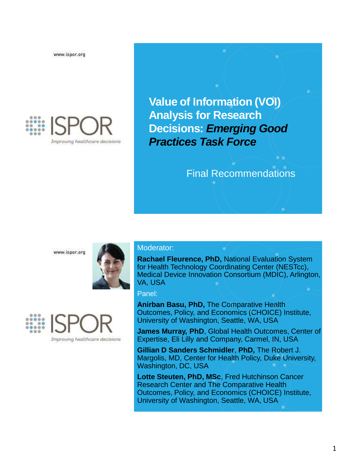www.ispor.org



**Value of Information (VOI) Analysis for Research Decisions:** *Emerging Good Practices Task Force*

### Final Recommendations

www.ispor.org





#### Moderator:

**Rachael Fleurence, PhD,** National Evaluation System for Health Technology Coordinating Center (NESTcc), Medical Device Innovation Consortium (MDIC), Arlington, VA, USA

Panel:

**Anirban Basu, PhD,** The Comparative Health Outcomes, Policy, and Economics (CHOICE) Institute, University of Washington, Seattle, WA, USA

**James Murray, PhD**, Global Health Outcomes, Center of Expertise, Eli Lilly and Company, Carmel, IN, USA

**Gillian D Sanders Schmidler**, **PhD,** The Robert J. Margolis, MD, Center for Health Policy, Duke University, Washington, DC, USA

**Lotte Steuten, PhD, MSc**, Fred Hutchinson Cancer Research Center and The Comparative Health Outcomes, Policy, and Economics (CHOICE) Institute, University of Washington, Seattle, WA, USA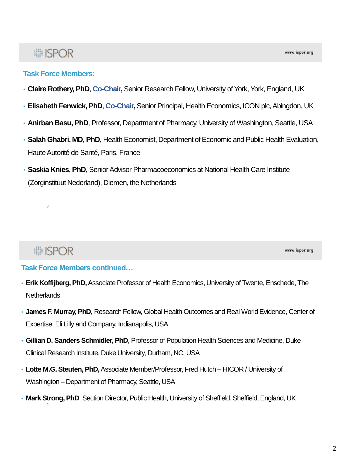# : ISPOR

- **Claire Rothery, PhD**, **Co-Chair,** Senior Research Fellow, University of York, York, England, UK
- **Elisabeth Fenwick, PhD**, **Co-Chair,**Senior Principal, Health Economics, ICON plc, Abingdon, UK
- **Anirban Basu, PhD**, Professor, Department of Pharmacy, University of Washington, Seattle, USA
- **Salah Ghabri, MD, PhD,** Health Economist, Department of Economic and Public Health Evaluation, Haute Autorité de Santé, Paris, France
- **Saskia Knies, PhD,** Senior Advisor Pharmacoeconomics at National Health Care Institute (Zorginstituut Nederland), Diemen, the Netherlands

# **# ISPOR**

**3**

www.ispor.org

#### **Task Force Members continued…**

- **Erik Koffijberg, PhD,**Associate Professor of Health Economics, University of Twente, Enschede, The **Netherlands**
- **James F. Murray, PhD,** Research Fellow, Global Health Outcomes and Real World Evidence, Center of Expertise, Eli Lilly and Company, Indianapolis, USA
- **Gillian D. Sanders Schmidler, PhD**, Professor of Population Health Sciences and Medicine, Duke Clinical Research Institute, Duke University, Durham, NC, USA
- **Lotte M.G. Steuten, PhD,**Associate Member/Professor, Fred Hutch HICOR / University of Washington – Department of Pharmacy, Seattle, USA
- **Mark Strong, PhD**, Section Director, Public Health, University of Sheffield, Sheffield, England, UK **4**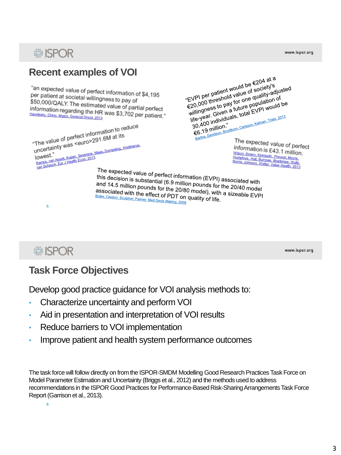

**■ISPOR** 

www.ispor.org

## **Task Force Objectives**

Develop good practice guidance for VOI analysis methods to:

- Characterize uncertainty and perform VOI
- Aid in presentation and interpretation of VOI results
- Reduce barriers to VOI implementation
- Improve patient and health system performance outcomes

The task force will follow directly on from the ISPOR-SMDM Modelling Good Research Practices Task Force on Model Parameter Estimation and Uncertainty (Briggs et al., 2012) and the methods used to address recommendations in the ISPOR Good Practices for Performance-Based Risk-Sharing Arrangements Task Force Report (Garrison et al., 2013).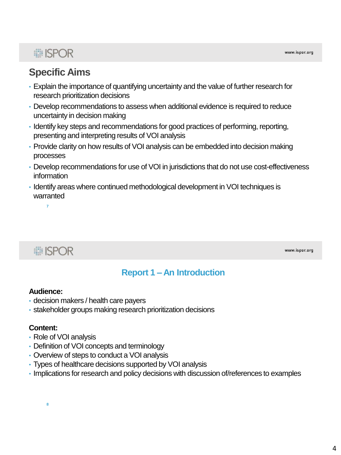# : ISPOR

# **Specific Aims**

- Explain the importance of quantifying uncertainty and the value of further research for research prioritization decisions
- Develop recommendations to assess when additional evidence is required to reduce uncertainty in decision making
- Identify key steps and recommendations for good practices of performing, reporting, presenting and interpreting results of VOI analysis
- Provide clarity on how results of VOI analysis can be embedded into decision making processes
- Develop recommendations for use of VOI in jurisdictions that do not use cost-effectiveness information
- Identify areas where continued methodological development in VOI techniques is warranted

**■ISPOR** 

**7**

www.ispor.org

#### **Report 1 – An Introduction**

#### **Audience:**

- decision makers / health care payers
- stakeholder groups making research prioritization decisions

#### **Content:**

- Role of VOI analysis
- Definition of VOI concepts and terminology
- Overview of steps to conduct a VOI analysis
- Types of healthcare decisions supported by VOI analysis
- Implications for research and policy decisions with discussion of/references to examples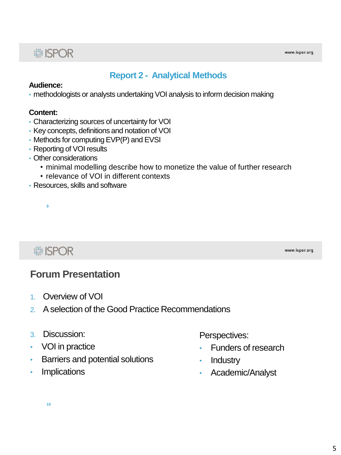#### **Report 2 - Analytical Methods**

#### **Audience:**

• methodologists or analysts undertaking VOI analysis to inform decision making

#### **Content:**

- Characterizing sources of uncertainty for VOI
- Key concepts, definitions and notation of VOI
- Methods for computing EVP(P) and EVSI
- Reporting of VOI results
- Other considerations
	- minimal modelling describe how to monetize the value of further research
	- relevance of VOI in different contexts
- Resources, skills and software

# **■ISPOR**

**9**

www.ispor.org

#### **Forum Presentation**

- 1. Overview of VOI
- 2. A selection of the Good Practice Recommendations
- 3. Discussion:
- VOI in practice
- Barriers and potential solutions
- Implications

Perspectives:

- Funders of research
- **Industry**
- Academic/Analyst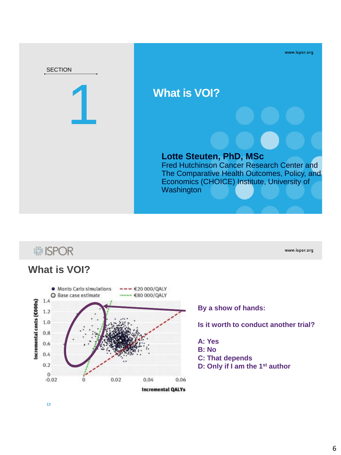

# **i ISPOR**

#### **What is VOI?**



**By a show of hands:** 

#### **Is it worth to conduct another trial?**

www.ispor.org

**A: Yes B: No C: That depends D: Only if I am the 1st author**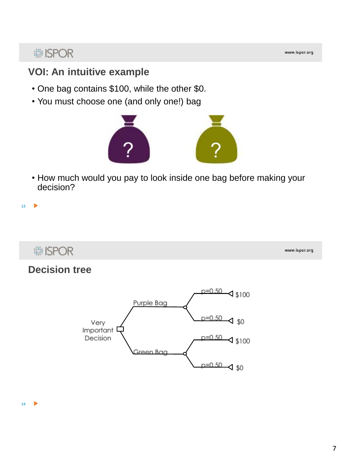# **... ISPOR**

### **VOI: An intuitive example**

- One bag contains \$100, while the other \$0.
- You must choose one (and only one!) bag



• How much would you pay to look inside one bag before making your decision?

**■ISPOR** 

**13**

ь

www.ispor.org

#### **Decision tree**

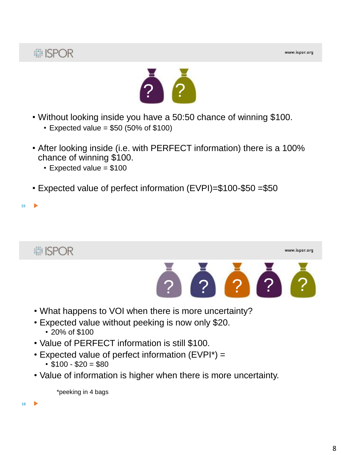



- Without looking inside you have a 50:50 chance of winning \$100.
	- $\cdot$  Expected value = \$50 (50% of \$100)
- After looking inside (i.e. with PERFECT information) there is a 100% chance of winning \$100.
	- $\cdot$  Expected value = \$100
- Expected value of perfect information (EVPI)=\$100-\$50 =\$50



- What happens to VOI when there is more uncertainty?
- Expected value without peeking is now only \$20.
	- 20% of \$100
- Value of PERFECT information is still \$100.
- Expected value of perfect information (EVPI\*) =
	- $$100 $20 = $80$
- Value of information is higher when there is more uncertainty.

\*peeking in 4 bags

**16**

**15**

ь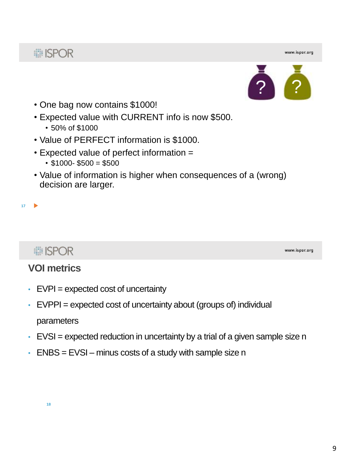www.ispor.org



- One bag now contains \$1000!
- Expected value with CURRENT info is now \$500.
	- 50% of \$1000
- Value of PERFECT information is \$1000.
- Expected value of perfect information =
	- $•$  \$1000- \$500 = \$500
- Value of information is higher when consequences of a (wrong) decision are larger.

#### **17**

# **■ISPOR**

www.ispor.org

#### **VOI metrics**

- $\cdot$  EVPI = expected cost of uncertainty
- $\cdot$  EVPPI = expected cost of uncertainty about (groups of) individual parameters
- $\cdot$  EVSI = expected reduction in uncertainty by a trial of a given sample size n
- $\cdot$  ENBS = EVSI minus costs of a study with sample size n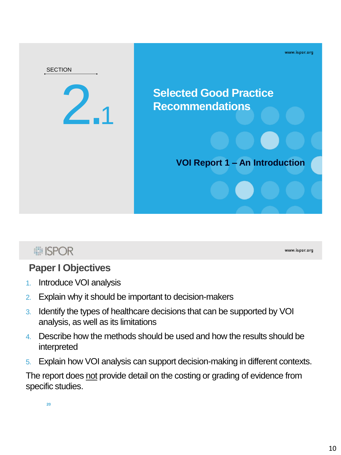

# **■ ISPOR**

www.ispor.org

# **Paper I Objectives**

- 1. Introduce VOI analysis
- 2. Explain why it should be important to decision-makers
- 3. Identify the types of healthcare decisions that can be supported by VOI analysis, as well as its limitations
- 4. Describe how the methods should be used and how the results should be interpreted
- 5. Explain how VOI analysis can support decision-making in different contexts.

The report does not provide detail on the costing or grading of evidence from specific studies.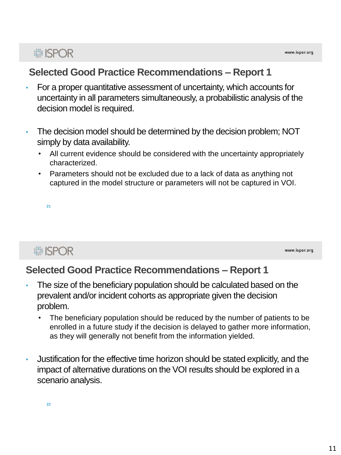## **Selected Good Practice Recommendations – Report 1**

- For a proper quantitative assessment of uncertainty, which accounts for uncertainty in all parameters simultaneously, a probabilistic analysis of the decision model is required.
- The decision model should be determined by the decision problem; NOT simply by data availability.
	- All current evidence should be considered with the uncertainty appropriately characterized.
	- Parameters should not be excluded due to a lack of data as anything not captured in the model structure or parameters will not be captured in VOI.

**21**

# **■ISPOR**

www.ispor.org

## **Selected Good Practice Recommendations – Report 1**

- The size of the beneficiary population should be calculated based on the prevalent and/or incident cohorts as appropriate given the decision problem.
	- The beneficiary population should be reduced by the number of patients to be enrolled in a future study if the decision is delayed to gather more information, as they will generally not benefit from the information yielded.
- Justification for the effective time horizon should be stated explicitly, and the impact of alternative durations on the VOI results should be explored in a scenario analysis.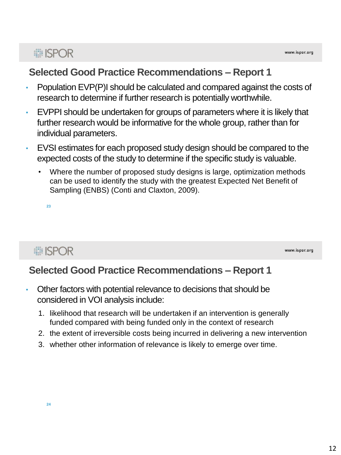## **Selected Good Practice Recommendations – Report 1**

- Population EVP(P)I should be calculated and compared against the costs of research to determine if further research is potentially worthwhile.
- EVPPI should be undertaken for groups of parameters where it is likely that further research would be informative for the whole group, rather than for individual parameters.
- EVSI estimates for each proposed study design should be compared to the expected costs of the study to determine if the specific study is valuable.
	- Where the number of proposed study designs is large, optimization methods can be used to identify the study with the greatest Expected Net Benefit of Sampling (ENBS) (Conti and Claxton, 2009).

**23**

# **■ISPOR**

www.ispor.org

## **Selected Good Practice Recommendations – Report 1**

- Other factors with potential relevance to decisions that should be considered in VOI analysis include:
	- 1. likelihood that research will be undertaken if an intervention is generally funded compared with being funded only in the context of research
	- 2. the extent of irreversible costs being incurred in delivering a new intervention
	- 3. whether other information of relevance is likely to emerge over time.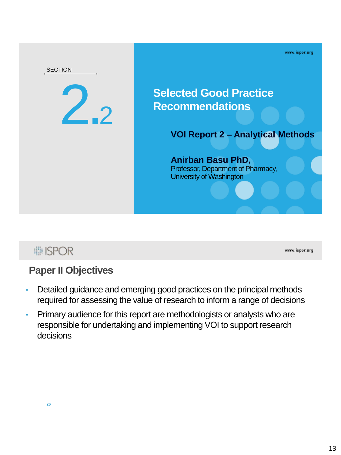

# **■ ISPOR**

www.ispor.org

## **Paper II Objectives**

- Detailed guidance and emerging good practices on the principal methods required for assessing the value of research to inform a range of decisions
- Primary audience for this report are methodologists or analysts who are responsible for undertaking and implementing VOI to support research decisions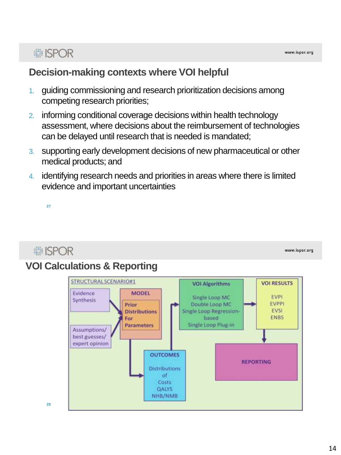## **Decision-making contexts where VOI helpful**

- 1. guiding commissioning and research prioritization decisions among competing research priorities;
- 2. informing conditional coverage decisions within health technology assessment, where decisions about the reimbursement of technologies can be delayed until research that is needed is mandated;
- 3. supporting early development decisions of new pharmaceutical or other medical products; and
- 4. identifying research needs and priorities in areas where there is limited evidence and important uncertainties

**27**

# **■ISPOR**

www.ispor.org

# **VOI Calculations & Reporting**

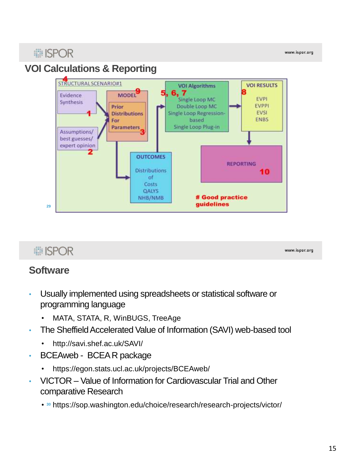# **■ISPOR**

www.ispor.org

# **VOI Calculations & Reporting**



# **■ISPOR**

#### www.ispor.org

#### **Software**

- Usually implemented using spreadsheets or statistical software or programming language
	- MATA, STATA, R, WinBUGS, TreeAge
- The Sheffield Accelerated Value of Information (SAVI) web-based tool
	- http://savi.shef.ac.uk/SAVI/
- BCEAweb BCEA R package
	- https://egon.stats.ucl.ac.uk/projects/BCEAweb/
- VICTOR Value of Information for Cardiovascular Trial and Other comparative Research
	- https://sop.washington.edu/choice/research/research-projects/victor/ **<sup>30</sup>**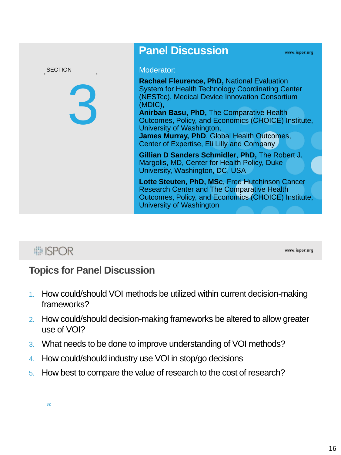

## **Panel Discussion**

**Rachael Fleurence, PhD,** National Evaluation System for Health Technology Coordinating Center (NESTcc), Medical Device Innovation Consortium (MDIC),

**Anirban Basu, PhD,** The Comparative Health Outcomes, Policy, and Economics (CHOICE) Institute, University of Washington,

**James Murray, PhD**, Global Health Outcomes, Center of Expertise, Eli Lilly and Company

**Gillian D Sanders Schmidler**, **PhD,** The Robert J. Margolis, MD, Center for Health Policy, Duke University, Washington, DC, USA

**Lotte Steuten, PhD, MSc**, Fred Hutchinson Cancer Research Center and The Comparative Health Outcomes, Policy, and Economics (CHOICE) Institute, University of Washington

# **■ISPOR**

www.ispor.org

## **Topics for Panel Discussion**

- 1. How could/should VOI methods be utilized within current decision-making frameworks?
- 2. How could/should decision-making frameworks be altered to allow greater use of VOI?
- 3. What needs to be done to improve understanding of VOI methods?
- 4. How could/should industry use VOI in stop/go decisions
- 5. How best to compare the value of research to the cost of research?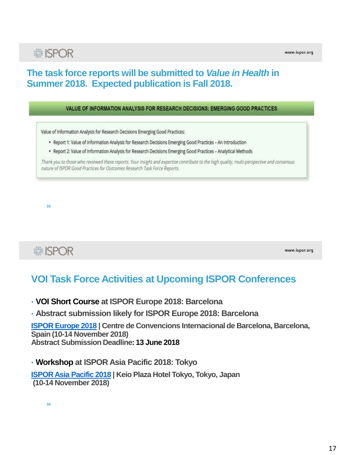#### **The task force reports will be submitted to** *Value in Health* **in Summer 2018. Expected publication is Fall 2018.**

#### VALUE OF INFORMATION ANALYSIS FOR RESEARCH DECISIONS: EMERGING GOOD PRACTICES

Value of Information Analysis for Research Decisions Emerging Good Practices:

- \* Report 1: Value of Information Analysis for Research Decisions Emerging Good Practices An Introduction
- . Report 2: Value of Information Analysis for Research Decisions Emerging Good Practices Analytical Methods

Thank you to those who reviewed these reports. Your insight and expertise contribute to the high quality, multi-perspective and consensus nature of ISPOR Good Practices for Outcomes Research Task Force Reports.

**33**

# **■ISPOR**

www.ispor.org

## **VOI Task Force Activities at Upcoming ISPOR Conferences**

- **VOI Short Course at ISPOR Europe 2018: Barcelona**
- **Abstract submission likely for ISPOR Europe 2018: Barcelona**

**[ISPOR Europe 2018](https://www.ispor.org/Event/index/2018Barcelona) | Centre de Convencions Internacional de Barcelona, Barcelona, Spain (10-14 November 2018) Abstract Submission Deadline: 13 June 2018**

#### • **Workshop at ISPOR Asia Pacific 2018: Tokyo**

**[ISPOR Asia Pacific 2018](https://www.ispor.org/Event/index/2018Tokyo) | Keio Plaza Hotel Tokyo, Tokyo, Japan (10-14 November 2018)**